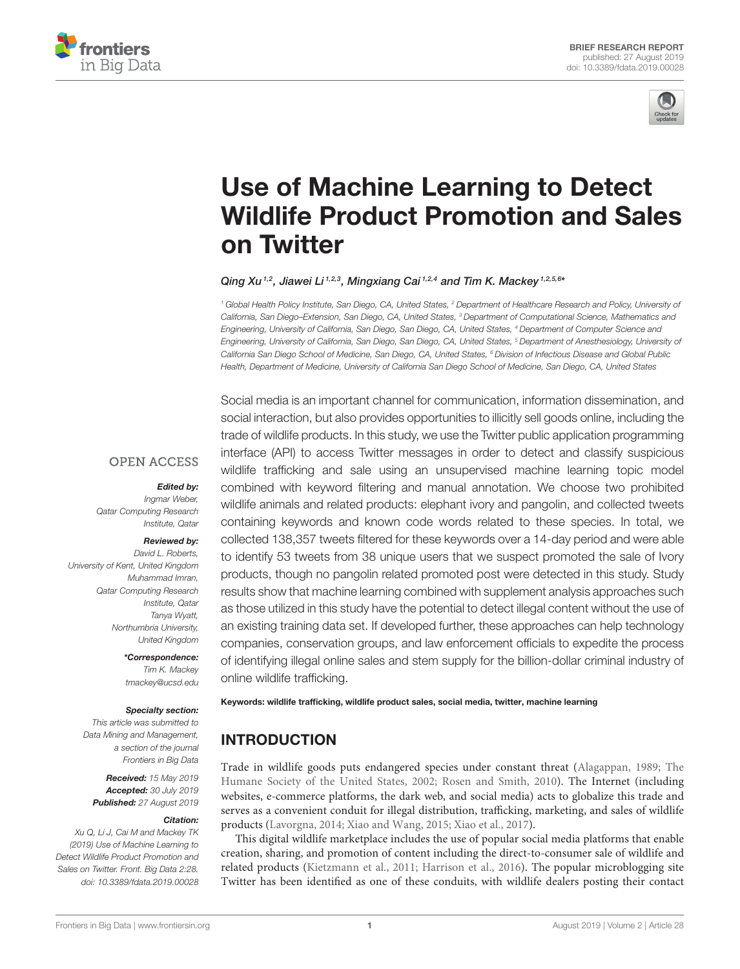



# Use of Machine Learning to Detect [Wildlife Product Promotion and Sales](https://www.frontiersin.org/articles/10.3389/fdata.2019.00028/full) on Twitter

#### [Qing Xu](http://loop.frontiersin.org/people/678382/overview)<sup>1,2</sup>, [Jiawei Li](http://loop.frontiersin.org/people/759254/overview)<sup>1,2,3</sup>, [Mingxiang Cai](http://loop.frontiersin.org/people/786928/overview)<sup>1,2,4</sup> and [Tim K. Mackey](http://loop.frontiersin.org/people/213722/overview)<sup>1,2,5,6</sup>\*

*<sup>1</sup> Global Health Policy Institute, San Diego, CA, United States, <sup>2</sup> Department of Healthcare Research and Policy, University of California, San Diego–Extension, San Diego, CA, United States, <sup>3</sup> Department of Computational Science, Mathematics and Engineering, University of California, San Diego, San Diego, CA, United States, <sup>4</sup> Department of Computer Science and Engineering, University of California, San Diego, San Diego, CA, United States, <sup>5</sup> Department of Anesthesiology, University of California San Diego School of Medicine, San Diego, CA, United States, <sup>6</sup> Division of Infectious Disease and Global Public Health, Department of Medicine, University of California San Diego School of Medicine, San Diego, CA, United States*

#### **OPEN ACCESS**

#### Edited by:

*Ingmar Weber, Qatar Computing Research Institute, Qatar*

#### Reviewed by:

*David L. Roberts, University of Kent, United Kingdom Muhammad Imran, Qatar Computing Research Institute, Qatar Tanya Wyatt, Northumbria University, United Kingdom*

#### \*Correspondence:

*Tim K. Mackey [tmackey@ucsd.edu](mailto:tmackey@ucsd.edu)*

#### Specialty section:

*This article was submitted to Data Mining and Management, a section of the journal Frontiers in Big Data*

Received: *15 May 2019* Accepted: *30 July 2019* Published: *27 August 2019*

#### Citation:

*Xu Q, Li J, Cai M and Mackey TK (2019) Use of Machine Learning to Detect Wildlife Product Promotion and Sales on Twitter. Front. Big Data 2:28. doi: [10.3389/fdata.2019.00028](https://doi.org/10.3389/fdata.2019.00028)*

Social media is an important channel for communication, information dissemination, and social interaction, but also provides opportunities to illicitly sell goods online, including the trade of wildlife products. In this study, we use the Twitter public application programming interface (API) to access Twitter messages in order to detect and classify suspicious wildlife trafficking and sale using an unsupervised machine learning topic model combined with keyword filtering and manual annotation. We choose two prohibited wildlife animals and related products: elephant ivory and pangolin, and collected tweets containing keywords and known code words related to these species. In total, we collected 138,357 tweets filtered for these keywords over a 14-day period and were able to identify 53 tweets from 38 unique users that we suspect promoted the sale of Ivory products, though no pangolin related promoted post were detected in this study. Study results show that machine learning combined with supplement analysis approaches such as those utilized in this study have the potential to detect illegal content without the use of an existing training data set. If developed further, these approaches can help technology companies, conservation groups, and law enforcement officials to expedite the process of identifying illegal online sales and stem supply for the billion-dollar criminal industry of online wildlife trafficking.

#### Keywords: wildlife trafficking, wildlife product sales, social media, twitter, machine learning

# INTRODUCTION

Trade in wildlife goods puts endangered species under constant threat [\(Alagappan, 1989;](#page-6-0) The Humane Society of the United States, [2002;](#page-7-0) [Rosen and Smith, 2010\)](#page-6-1). The Internet (including websites, e-commerce platforms, the dark web, and social media) acts to globalize this trade and serves as a convenient conduit for illegal distribution, trafficking, marketing, and sales of wildlife products [\(Lavorgna, 2014;](#page-6-2) [Xiao and Wang, 2015;](#page-7-1) [Xiao et al., 2017\)](#page-7-2).

This digital wildlife marketplace includes the use of popular social media platforms that enable creation, sharing, and promotion of content including the direct-to-consumer sale of wildlife and related products [\(Kietzmann et al., 2011;](#page-6-3) [Harrison et al., 2016\)](#page-6-4). The popular microblogging site Twitter has been identified as one of these conduits, with wildlife dealers posting their contact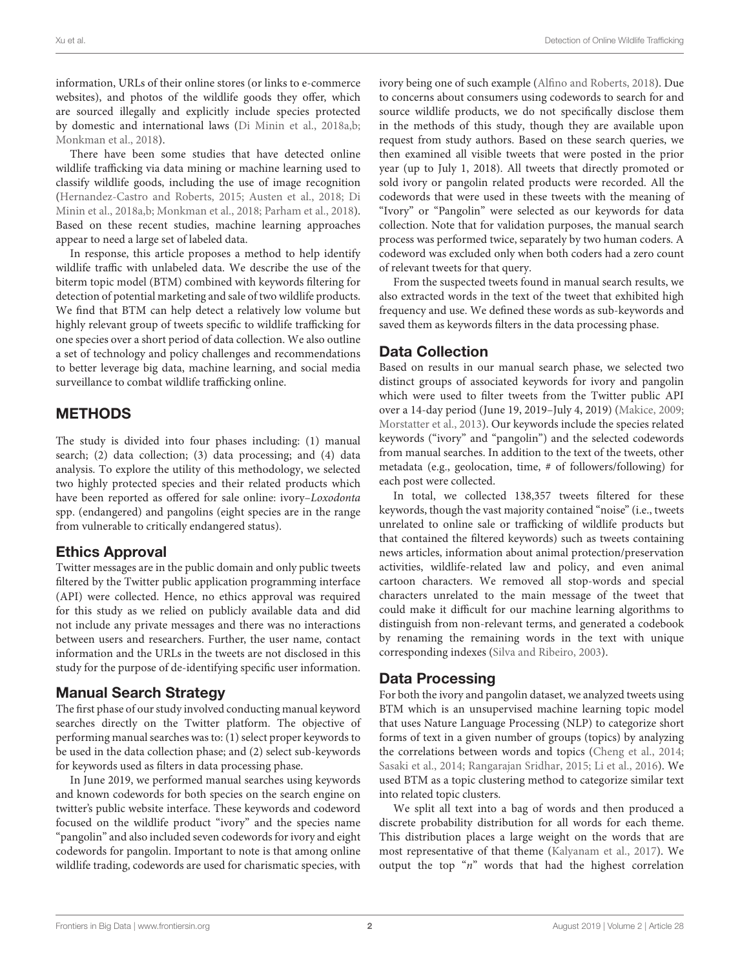information, URLs of their online stores (or links to e-commerce websites), and photos of the wildlife goods they offer, which are sourced illegally and explicitly include species protected by domestic and international laws [\(Di Minin et al., 2018a](#page-6-5)[,b;](#page-6-6) [Monkman et al., 2018\)](#page-6-7).

There have been some studies that have detected online wildlife trafficking via data mining or machine learning used to classify wildlife goods, including the use of image recognition [\(Hernandez-Castro and Roberts, 2015;](#page-6-8) [Austen et al., 2018;](#page-6-9) Di Minin et al., [2018a](#page-6-5)[,b;](#page-6-6) [Monkman et al., 2018;](#page-6-7) [Parham et al., 2018\)](#page-6-10). Based on these recent studies, machine learning approaches appear to need a large set of labeled data.

In response, this article proposes a method to help identify wildlife traffic with unlabeled data. We describe the use of the biterm topic model (BTM) combined with keywords filtering for detection of potential marketing and sale of two wildlife products. We find that BTM can help detect a relatively low volume but highly relevant group of tweets specific to wildlife trafficking for one species over a short period of data collection. We also outline a set of technology and policy challenges and recommendations to better leverage big data, machine learning, and social media surveillance to combat wildlife trafficking online.

# METHODS

The study is divided into four phases including: (1) manual search; (2) data collection; (3) data processing; and (4) data analysis. To explore the utility of this methodology, we selected two highly protected species and their related products which have been reported as offered for sale online: ivory–Loxodonta spp. (endangered) and pangolins (eight species are in the range from vulnerable to critically endangered status).

### Ethics Approval

Twitter messages are in the public domain and only public tweets filtered by the Twitter public application programming interface (API) were collected. Hence, no ethics approval was required for this study as we relied on publicly available data and did not include any private messages and there was no interactions between users and researchers. Further, the user name, contact information and the URLs in the tweets are not disclosed in this study for the purpose of de-identifying specific user information.

### Manual Search Strategy

The first phase of our study involved conducting manual keyword searches directly on the Twitter platform. The objective of performing manual searches was to: (1) select proper keywords to be used in the data collection phase; and (2) select sub-keywords for keywords used as filters in data processing phase.

In June 2019, we performed manual searches using keywords and known codewords for both species on the search engine on twitter's public website interface. These keywords and codeword focused on the wildlife product "ivory" and the species name "pangolin" and also included seven codewords for ivory and eight codewords for pangolin. Important to note is that among online wildlife trading, codewords are used for charismatic species, with ivory being one of such example [\(Alfino and Roberts, 2018\)](#page-6-11). Due to concerns about consumers using codewords to search for and source wildlife products, we do not specifically disclose them in the methods of this study, though they are available upon request from study authors. Based on these search queries, we then examined all visible tweets that were posted in the prior year (up to July 1, 2018). All tweets that directly promoted or sold ivory or pangolin related products were recorded. All the codewords that were used in these tweets with the meaning of "Ivory" or "Pangolin" were selected as our keywords for data collection. Note that for validation purposes, the manual search process was performed twice, separately by two human coders. A codeword was excluded only when both coders had a zero count of relevant tweets for that query.

From the suspected tweets found in manual search results, we also extracted words in the text of the tweet that exhibited high frequency and use. We defined these words as sub-keywords and saved them as keywords filters in the data processing phase.

### Data Collection

Based on results in our manual search phase, we selected two distinct groups of associated keywords for ivory and pangolin which were used to filter tweets from the Twitter public API over a 14-day period (June 19, 2019–July 4, 2019) [\(Makice, 2009;](#page-6-12) [Morstatter et al., 2013\)](#page-6-13). Our keywords include the species related keywords ("ivory" and "pangolin") and the selected codewords from manual searches. In addition to the text of the tweets, other metadata (e.g., geolocation, time, # of followers/following) for each post were collected.

In total, we collected 138,357 tweets filtered for these keywords, though the vast majority contained "noise" (i.e., tweets unrelated to online sale or trafficking of wildlife products but that contained the filtered keywords) such as tweets containing news articles, information about animal protection/preservation activities, wildlife-related law and policy, and even animal cartoon characters. We removed all stop-words and special characters unrelated to the main message of the tweet that could make it difficult for our machine learning algorithms to distinguish from non-relevant terms, and generated a codebook by renaming the remaining words in the text with unique corresponding indexes [\(Silva and Ribeiro, 2003\)](#page-7-3).

### Data Processing

For both the ivory and pangolin dataset, we analyzed tweets using BTM which is an unsupervised machine learning topic model that uses Nature Language Processing (NLP) to categorize short forms of text in a given number of groups (topics) by analyzing the correlations between words and topics [\(Cheng et al., 2014;](#page-6-14) [Sasaki et al., 2014;](#page-6-15) [Rangarajan Sridhar, 2015;](#page-6-16) [Li et al., 2016\)](#page-6-17). We used BTM as a topic clustering method to categorize similar text into related topic clusters.

We split all text into a bag of words and then produced a discrete probability distribution for all words for each theme. This distribution places a large weight on the words that are most representative of that theme [\(Kalyanam et al., 2017\)](#page-6-18). We output the top " $n$ " words that had the highest correlation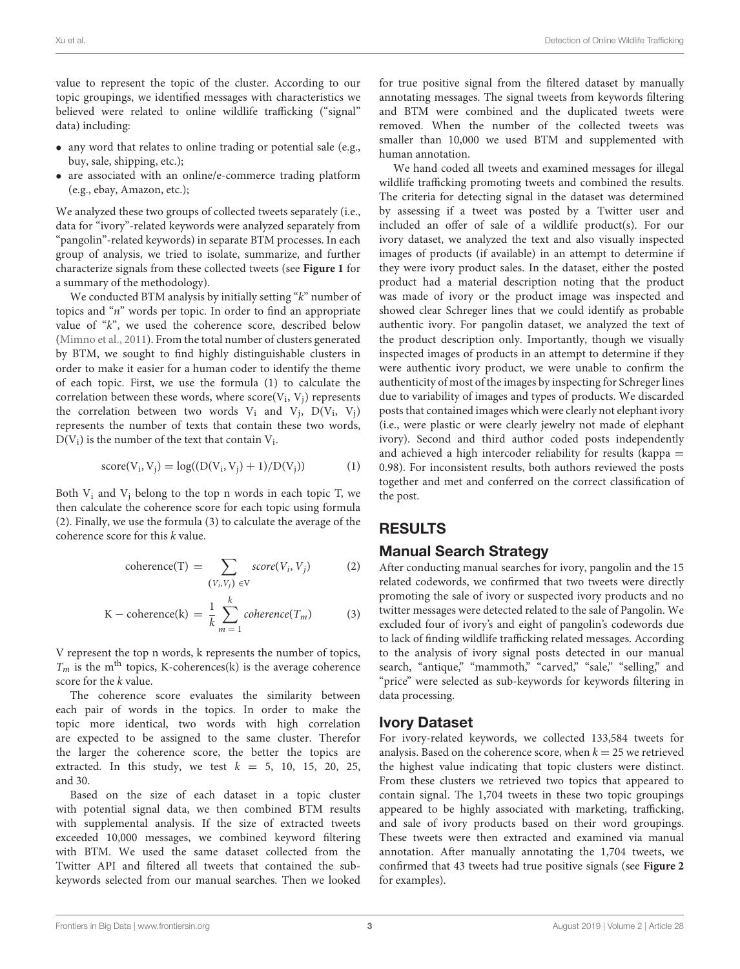value to represent the topic of the cluster. According to our topic groupings, we identified messages with characteristics we believed were related to online wildlife trafficking ("signal" data) including:

- any word that relates to online trading or potential sale (e.g., buy, sale, shipping, etc.);
- are associated with an online/e-commerce trading platform (e.g., ebay, Amazon, etc.);

We analyzed these two groups of collected tweets separately (i.e., data for "ivory"-related keywords were analyzed separately from "pangolin"-related keywords) in separate BTM processes. In each group of analysis, we tried to isolate, summarize, and further characterize signals from these collected tweets (see **[Figure 1](#page-3-0)** for a summary of the methodology).

We conducted BTM analysis by initially setting  $K$ " number of topics and "n" words per topic. In order to find an appropriate value of "k", we used the coherence score, described below [\(Mimno et al., 2011\)](#page-6-19). From the total number of clusters generated by BTM, we sought to find highly distinguishable clusters in order to make it easier for a human coder to identify the theme of each topic. First, we use the formula (1) to calculate the correlation between these words, where  $\mathrm{score}(\mathrm{V_i}, \mathrm{V_j})$  represents the correlation between two words  $V_i$  and  $V_j$ ,  $D(V_i, V_j)$ represents the number of texts that contain these two words,  $D(V_i)$  is the number of the text that contain  $V_i$ .

score(V<sup>i</sup> , Vj) = log((D(V<sup>i</sup> , Vj) + 1)/D(Vj)) (1)

Both  $V_i$  and  $V_j$  belong to the top n words in each topic T, we then calculate the coherence score for each topic using formula (2). Finally, we use the formula (3) to calculate the average of the coherence score for this k value.

$$
coherence(T) = \sum_{(V_i, V_j) \in V} score(V_i, V_j)
$$
 (2)

$$
K - \text{coherence}(k) = \frac{1}{k} \sum_{m=1}^{k} \text{coherence}(T_m) \tag{3}
$$

V represent the top n words, k represents the number of topics,  $T_m$  is the m<sup>th</sup> topics, K-coherences(k) is the average coherence score for the k value.

The coherence score evaluates the similarity between each pair of words in the topics. In order to make the topic more identical, two words with high correlation are expected to be assigned to the same cluster. Therefor the larger the coherence score, the better the topics are extracted. In this study, we test  $k = 5$ , 10, 15, 20, 25, and 30.

Based on the size of each dataset in a topic cluster with potential signal data, we then combined BTM results with supplemental analysis. If the size of extracted tweets exceeded 10,000 messages, we combined keyword filtering with BTM. We used the same dataset collected from the Twitter API and filtered all tweets that contained the subkeywords selected from our manual searches. Then we looked for true positive signal from the filtered dataset by manually annotating messages. The signal tweets from keywords filtering and BTM were combined and the duplicated tweets were removed. When the number of the collected tweets was smaller than 10,000 we used BTM and supplemented with human annotation.

We hand coded all tweets and examined messages for illegal wildlife trafficking promoting tweets and combined the results. The criteria for detecting signal in the dataset was determined by assessing if a tweet was posted by a Twitter user and included an offer of sale of a wildlife product(s). For our ivory dataset, we analyzed the text and also visually inspected images of products (if available) in an attempt to determine if they were ivory product sales. In the dataset, either the posted product had a material description noting that the product was made of ivory or the product image was inspected and showed clear Schreger lines that we could identify as probable authentic ivory. For pangolin dataset, we analyzed the text of the product description only. Importantly, though we visually inspected images of products in an attempt to determine if they were authentic ivory product, we were unable to confirm the authenticity of most of the images by inspecting for Schreger lines due to variability of images and types of products. We discarded posts that contained images which were clearly not elephant ivory (i.e., were plastic or were clearly jewelry not made of elephant ivory). Second and third author coded posts independently and achieved a high intercoder reliability for results (kappa = 0.98). For inconsistent results, both authors reviewed the posts together and met and conferred on the correct classification of the post.

### RESULTS

#### Manual Search Strategy

After conducting manual searches for ivory, pangolin and the 15 related codewords, we confirmed that two tweets were directly promoting the sale of ivory or suspected ivory products and no twitter messages were detected related to the sale of Pangolin. We excluded four of ivory's and eight of pangolin's codewords due to lack of finding wildlife trafficking related messages. According to the analysis of ivory signal posts detected in our manual search, "antique," "mammoth," "carved," "sale," "selling," and "price" were selected as sub-keywords for keywords filtering in data processing.

#### Ivory Dataset

For ivory-related keywords, we collected 133,584 tweets for analysis. Based on the coherence score, when  $k = 25$  we retrieved the highest value indicating that topic clusters were distinct. From these clusters we retrieved two topics that appeared to contain signal. The 1,704 tweets in these two topic groupings appeared to be highly associated with marketing, trafficking, and sale of ivory products based on their word groupings. These tweets were then extracted and examined via manual annotation. After manually annotating the 1,704 tweets, we confirmed that 43 tweets had true positive signals (see **[Figure 2](#page-4-0)** for examples).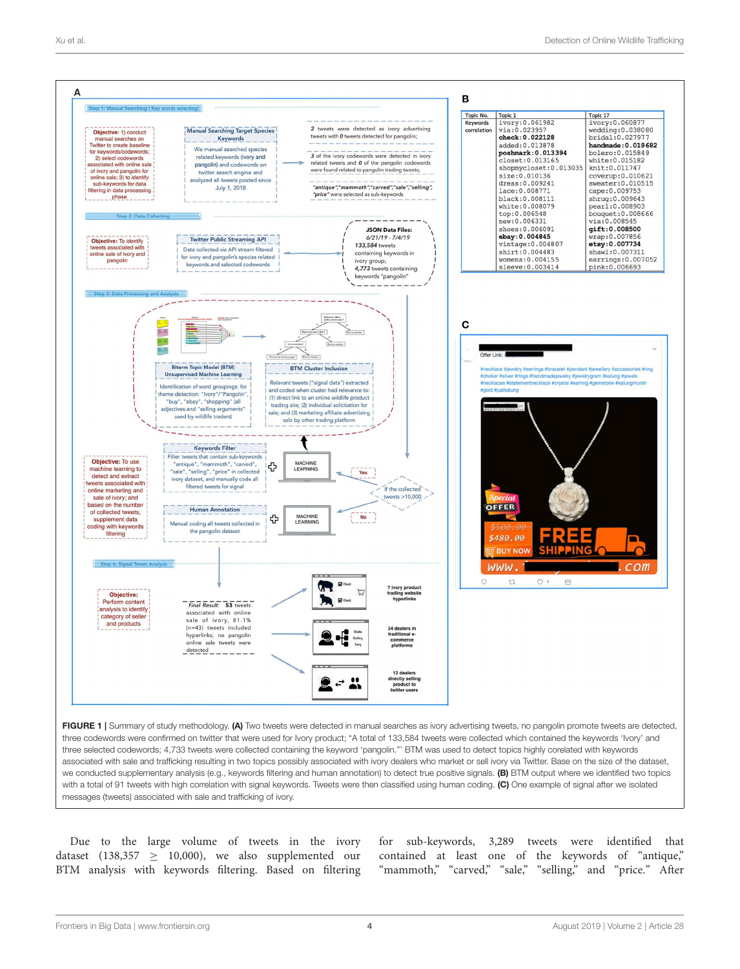

<span id="page-3-0"></span>FIGURE 1 | Summary of study methodology. (A) Two tweets were detected in manual searches as ivory advertising tweets, no pangolin promote tweets are detected, three codewords were confirmed on twitter that were used for Ivory product; "A total of 133,584 tweets were collected which contained the keywords 'Ivory' and three selected codewords; 4,733 tweets were collected containing the keyword 'pangolin."' BTM was used to detect topics highly corelated with keywords associated with sale and trafficking resulting in two topics possibly associated with ivory dealers who market or sell ivory via Twitter. Base on the size of the dataset, we conducted supplementary analysis (e.g., keywords filtering and human annotation) to detect true positive signals. (B) BTM output where we identified two topics with a total of 91 tweets with high correlation with signal keywords. Tweets were then classified using human coding. (C) One example of signal after we isolated messages (tweets) associated with sale and trafficking of ivory.

Due to the large volume of tweets in the ivory dataset (138,357  $\geq$  10,000), we also supplemented our BTM analysis with keywords filtering. Based on filtering

for sub-keywords, 3,289 tweets were identified that contained at least one of the keywords of "antique," "mammoth," "carved," "sale," "selling," and "price." After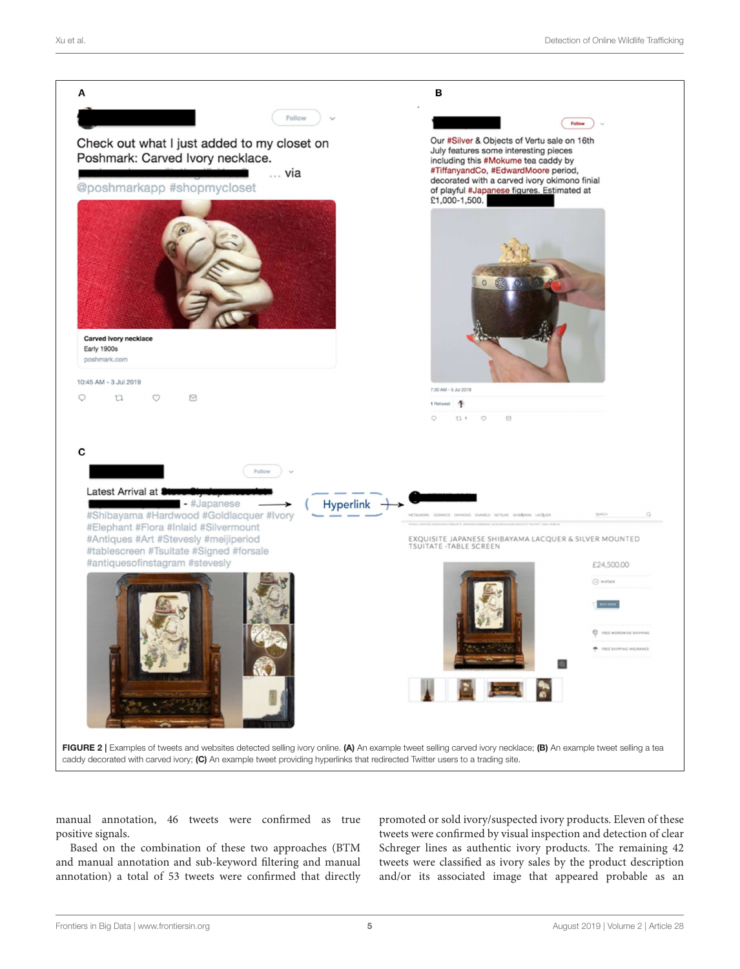

<span id="page-4-0"></span>manual annotation, 46 tweets were confirmed as true positive signals.

Based on the combination of these two approaches (BTM and manual annotation and sub-keyword filtering and manual annotation) a total of 53 tweets were confirmed that directly promoted or sold ivory/suspected ivory products. Eleven of these tweets were confirmed by visual inspection and detection of clear Schreger lines as authentic ivory products. The remaining 42 tweets were classified as ivory sales by the product description and/or its associated image that appeared probable as an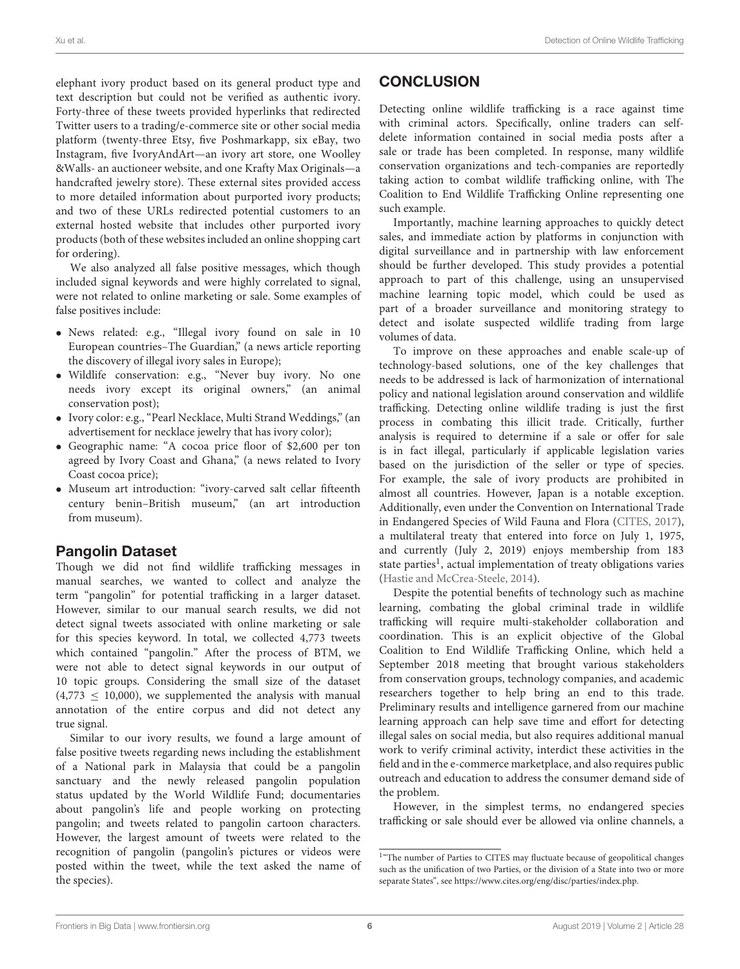elephant ivory product based on its general product type and text description but could not be verified as authentic ivory. Forty-three of these tweets provided hyperlinks that redirected Twitter users to a trading/e-commerce site or other social media platform (twenty-three Etsy, five Poshmarkapp, six eBay, two Instagram, five IvoryAndArt—an ivory art store, one Woolley &Walls- an auctioneer website, and one Krafty Max Originals—a handcrafted jewelry store). These external sites provided access to more detailed information about purported ivory products; and two of these URLs redirected potential customers to an external hosted website that includes other purported ivory products (both of these websites included an online shopping cart for ordering).

We also analyzed all false positive messages, which though included signal keywords and were highly correlated to signal, were not related to online marketing or sale. Some examples of false positives include:

- News related: e.g., "Illegal ivory found on sale in 10 European countries–The Guardian," (a news article reporting the discovery of illegal ivory sales in Europe);
- Wildlife conservation: e.g., "Never buy ivory. No one needs ivory except its original owners," (an animal conservation post);
- Ivory color: e.g., "Pearl Necklace, Multi Strand Weddings," (an advertisement for necklace jewelry that has ivory color);
- Geographic name: "A cocoa price floor of \$2,600 per ton agreed by Ivory Coast and Ghana," (a news related to Ivory Coast cocoa price);
- Museum art introduction: "ivory-carved salt cellar fifteenth century benin–British museum," (an art introduction from museum).

# Pangolin Dataset

Though we did not find wildlife trafficking messages in manual searches, we wanted to collect and analyze the term "pangolin" for potential trafficking in a larger dataset. However, similar to our manual search results, we did not detect signal tweets associated with online marketing or sale for this species keyword. In total, we collected 4,773 tweets which contained "pangolin." After the process of BTM, we were not able to detect signal keywords in our output of 10 topic groups. Considering the small size of the dataset  $(4,773 \le 10,000)$ , we supplemented the analysis with manual annotation of the entire corpus and did not detect any true signal.

Similar to our ivory results, we found a large amount of false positive tweets regarding news including the establishment of a National park in Malaysia that could be a pangolin sanctuary and the newly released pangolin population status updated by the World Wildlife Fund; documentaries about pangolin's life and people working on protecting pangolin; and tweets related to pangolin cartoon characters. However, the largest amount of tweets were related to the recognition of pangolin (pangolin's pictures or videos were posted within the tweet, while the text asked the name of the species).

# **CONCLUSION**

Detecting online wildlife trafficking is a race against time with criminal actors. Specifically, online traders can selfdelete information contained in social media posts after a sale or trade has been completed. In response, many wildlife conservation organizations and tech-companies are reportedly taking action to combat wildlife trafficking online, with The Coalition to End Wildlife Trafficking Online representing one such example.

Importantly, machine learning approaches to quickly detect sales, and immediate action by platforms in conjunction with digital surveillance and in partnership with law enforcement should be further developed. This study provides a potential approach to part of this challenge, using an unsupervised machine learning topic model, which could be used as part of a broader surveillance and monitoring strategy to detect and isolate suspected wildlife trading from large volumes of data.

To improve on these approaches and enable scale-up of technology-based solutions, one of the key challenges that needs to be addressed is lack of harmonization of international policy and national legislation around conservation and wildlife trafficking. Detecting online wildlife trading is just the first process in combating this illicit trade. Critically, further analysis is required to determine if a sale or offer for sale is in fact illegal, particularly if applicable legislation varies based on the jurisdiction of the seller or type of species. For example, the sale of ivory products are prohibited in almost all countries. However, Japan is a notable exception. Additionally, even under the Convention on International Trade in Endangered Species of Wild Fauna and Flora [\(CITES, 2017\)](#page-6-20), a multilateral treaty that entered into force on July 1, 1975, and currently (July 2, 2019) enjoys membership from 183 state parties<sup>[1](#page-5-0)</sup>, actual implementation of treaty obligations varies [\(Hastie and McCrea-Steele, 2014\)](#page-6-21).

Despite the potential benefits of technology such as machine learning, combating the global criminal trade in wildlife trafficking will require multi-stakeholder collaboration and coordination. This is an explicit objective of the Global Coalition to End Wildlife Trafficking Online, which held a September 2018 meeting that brought various stakeholders from conservation groups, technology companies, and academic researchers together to help bring an end to this trade. Preliminary results and intelligence garnered from our machine learning approach can help save time and effort for detecting illegal sales on social media, but also requires additional manual work to verify criminal activity, interdict these activities in the field and in the e-commerce marketplace, and also requires public outreach and education to address the consumer demand side of the problem.

However, in the simplest terms, no endangered species trafficking or sale should ever be allowed via online channels, a

<span id="page-5-0"></span><sup>&</sup>lt;sup>1</sup>"The number of Parties to CITES may fluctuate because of geopolitical changes such as the unification of two Parties, or the division of a State into two or more separate States", see [https://www.cites.org/eng/disc/parties/index.php.](https://www.cites.org/eng/disc/parties/index.php)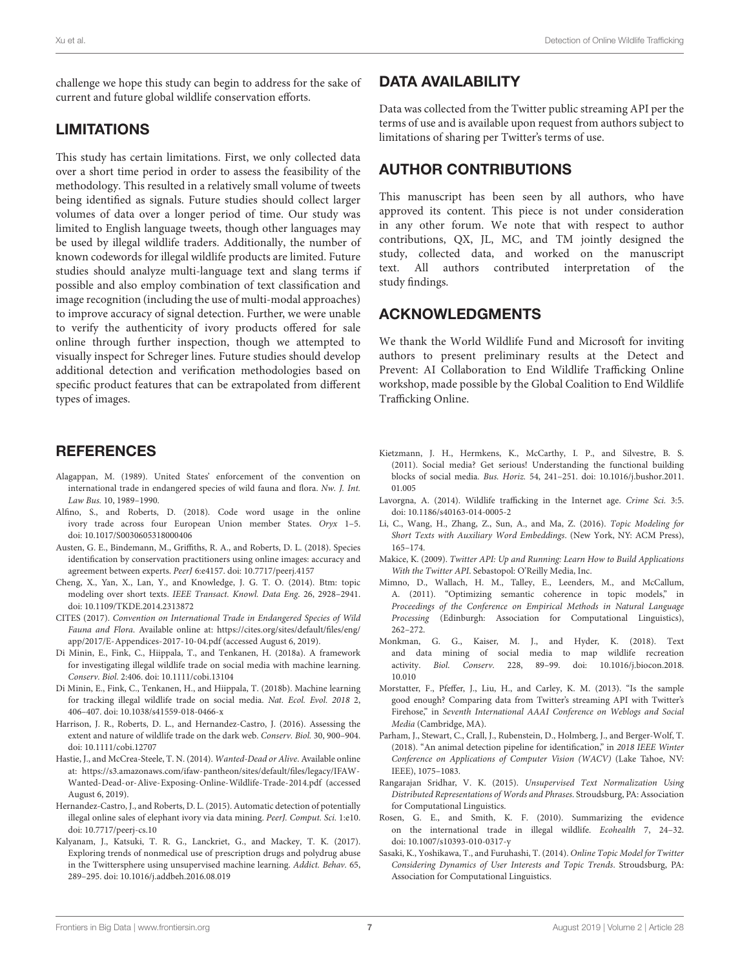challenge we hope this study can begin to address for the sake of current and future global wildlife conservation efforts.

### LIMITATIONS

This study has certain limitations. First, we only collected data over a short time period in order to assess the feasibility of the methodology. This resulted in a relatively small volume of tweets being identified as signals. Future studies should collect larger volumes of data over a longer period of time. Our study was limited to English language tweets, though other languages may be used by illegal wildlife traders. Additionally, the number of known codewords for illegal wildlife products are limited. Future studies should analyze multi-language text and slang terms if possible and also employ combination of text classification and image recognition (including the use of multi-modal approaches) to improve accuracy of signal detection. Further, we were unable to verify the authenticity of ivory products offered for sale online through further inspection, though we attempted to visually inspect for Schreger lines. Future studies should develop additional detection and verification methodologies based on specific product features that can be extrapolated from different types of images.

### **REFERENCES**

- <span id="page-6-0"></span>Alagappan, M. (1989). United States' enforcement of the convention on international trade in endangered species of wild fauna and flora. Nw. J. Int. Law Bus. 10, 1989–1990.
- <span id="page-6-11"></span>Alfino, S., and Roberts, D. (2018). Code word usage in the online ivory trade across four European Union member States. Oryx 1–5. doi: [10.1017/S0030605318000406](https://doi.org/10.1017/S0030605318000406)
- <span id="page-6-9"></span>Austen, G. E., Bindemann, M., Griffiths, R. A., and Roberts, D. L. (2018). Species identification by conservation practitioners using online images: accuracy and agreement between experts. PeerJ 6:e4157. doi: [10.7717/peerj.4157](https://doi.org/10.7717/peerj.4157)
- <span id="page-6-14"></span>Cheng, X., Yan, X., Lan, Y., and Knowledge, J. G. T. O. (2014). Btm: topic modeling over short texts. IEEE Transact. Knowl. Data Eng. 26, 2928–2941. doi: [10.1109/TKDE.2014.2313872](https://doi.org/10.1109/TKDE.2014.2313872)
- <span id="page-6-20"></span>CITES (2017). Convention on International Trade in Endangered Species of Wild Fauna and Flora. Available online at: [https://cites.org/sites/default/files/eng/](https://cites.org/sites/default/files/eng/app/2017/E-Appendices-2017-10-04.pdf) [app/2017/E-Appendices-2017-10-04.pdf](https://cites.org/sites/default/files/eng/app/2017/E-Appendices-2017-10-04.pdf) (accessed August 6, 2019).
- <span id="page-6-5"></span>Di Minin, E., Fink, C., Hiippala, T., and Tenkanen, H. (2018a). A framework for investigating illegal wildlife trade on social media with machine learning. Conserv. Biol. 2:406. doi: [10.1111/cobi.13104](https://doi.org/10.1111/cobi.13104)
- <span id="page-6-6"></span>Di Minin, E., Fink, C., Tenkanen, H., and Hiippala, T. (2018b). Machine learning for tracking illegal wildlife trade on social media. Nat. Ecol. Evol. 2018 2, 406–407. doi: [10.1038/s41559-018-0466-x](https://doi.org/10.1038/s41559-018-0466-x)
- <span id="page-6-4"></span>Harrison, J. R., Roberts, D. L., and Hernandez-Castro, J. (2016). Assessing the extent and nature of wildlife trade on the dark web. Conserv. Biol. 30, 900–904. doi: [10.1111/cobi.12707](https://doi.org/10.1111/cobi.12707)
- <span id="page-6-21"></span>Hastie, J., and McCrea-Steele, T. N. (2014). Wanted-Dead or Alive. Available online at: [https://s3.amazonaws.com/ifaw-pantheon/sites/default/files/legacy/IFAW-](https://s3.amazonaws.com/ifaw-pantheon/sites/default/files/legacy/IFAW-Wanted-Dead-or-Alive-Exposing-Online-Wildlife-Trade-2014.pdf)[Wanted-Dead-or-Alive-Exposing-Online-Wildlife-Trade-2014.pdf](https://s3.amazonaws.com/ifaw-pantheon/sites/default/files/legacy/IFAW-Wanted-Dead-or-Alive-Exposing-Online-Wildlife-Trade-2014.pdf) (accessed August 6, 2019).
- <span id="page-6-8"></span>Hernandez-Castro, J., and Roberts, D. L. (2015). Automatic detection of potentially illegal online sales of elephant ivory via data mining. PeerJ. Comput. Sci. 1:e10. doi: [10.7717/peerj-cs.10](https://doi.org/10.7717/peerj-cs.10)
- <span id="page-6-18"></span>Kalyanam, J., Katsuki, T. R. G., Lanckriet, G., and Mackey, T. K. (2017). Exploring trends of nonmedical use of prescription drugs and polydrug abuse in the Twittersphere using unsupervised machine learning. Addict. Behav. 65, 289–295. doi: [10.1016/j.addbeh.2016.08.019](https://doi.org/10.1016/j.addbeh.2016.08.019)

# DATA AVAILABILITY

Data was collected from the Twitter public streaming API per the terms of use and is available upon request from authors subject to limitations of sharing per Twitter's terms of use.

### AUTHOR CONTRIBUTIONS

This manuscript has been seen by all authors, who have approved its content. This piece is not under consideration in any other forum. We note that with respect to author contributions, QX, JL, MC, and TM jointly designed the study, collected data, and worked on the manuscript text. All authors contributed interpretation of the study findings.

### ACKNOWLEDGMENTS

We thank the World Wildlife Fund and Microsoft for inviting authors to present preliminary results at the Detect and Prevent: AI Collaboration to End Wildlife Trafficking Online workshop, made possible by the Global Coalition to End Wildlife Trafficking Online.

- <span id="page-6-3"></span>Kietzmann, J. H., Hermkens, K., McCarthy, I. P., and Silvestre, B. S. (2011). Social media? Get serious! Understanding the functional building blocks of social media. Bus. Horiz. [54, 241–251. doi: 10.1016/j.bushor.2011.](https://doi.org/10.1016/j.bushor.2011.01.005) 01.005
- <span id="page-6-2"></span>Lavorgna, A. (2014). Wildlife trafficking in the Internet age. Crime Sci. 3:5. doi: [10.1186/s40163-014-0005-2](https://doi.org/10.1186/s40163-014-0005-2)
- <span id="page-6-17"></span>Li, C., Wang, H., Zhang, Z., Sun, A., and Ma, Z. (2016). Topic Modeling for Short Texts with Auxiliary Word Embeddings. (New York, NY: ACM Press), 165–174.
- <span id="page-6-12"></span>Makice, K. (2009). Twitter API: Up and Running: Learn How to Build Applications With the Twitter API. Sebastopol: O'Reilly Media, Inc.
- <span id="page-6-19"></span>Mimno, D., Wallach, H. M., Talley, E., Leenders, M., and McCallum, A. (2011). "Optimizing semantic coherence in topic models," in Proceedings of the Conference on Empirical Methods in Natural Language Processing (Edinburgh: Association for Computational Linguistics), 262–272.
- <span id="page-6-7"></span>Monkman, G. G., Kaiser, M. J., and Hyder, K. (2018). Text and data mining of social media to map wildlife recreation activity. Biol. Conserv. [228, 89–99. doi: 10.1016/j.biocon.2018.](https://doi.org/10.1016/j.biocon.2018.10.010) 10.010
- <span id="page-6-13"></span>Morstatter, F., Pfeffer, J., Liu, H., and Carley, K. M. (2013). "Is the sample good enough? Comparing data from Twitter's streaming API with Twitter's Firehose," in Seventh International AAAI Conference on Weblogs and Social Media (Cambridge, MA).
- <span id="page-6-10"></span>Parham, J., Stewart, C., Crall, J., Rubenstein, D., Holmberg, J., and Berger-Wolf, T. (2018). "An animal detection pipeline for identification," in 2018 IEEE Winter Conference on Applications of Computer Vision (WACV) (Lake Tahoe, NV: IEEE), 1075–1083.
- <span id="page-6-16"></span>Rangarajan Sridhar, V. K. (2015). Unsupervised Text Normalization Using Distributed Representations of Words and Phrases. Stroudsburg, PA: Association for Computational Linguistics.
- <span id="page-6-1"></span>Rosen, G. E., and Smith, K. F. (2010). Summarizing the evidence on the international trade in illegal wildlife. Ecohealth 7, 24–32. doi: [10.1007/s10393-010-0317-y](https://doi.org/10.1007/s10393-010-0317-y)
- <span id="page-6-15"></span>Sasaki, K., Yoshikawa, T., and Furuhashi, T. (2014). Online Topic Model for Twitter Considering Dynamics of User Interests and Topic Trends. Stroudsburg, PA: Association for Computational Linguistics.